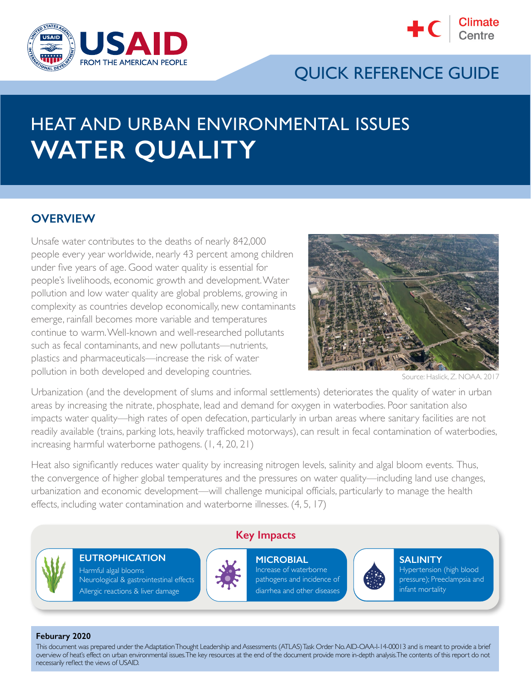



## QUICK REFERENCE GUIDE

# HEAT AND URBAN ENVIRONMENTAL ISSUES **WATER QUALITY**

#### **OVERVIEW**

Unsafe water contributes to the deaths of nearly 842,000 people every year worldwide, nearly 43 percent among children under five years of age. Good water quality is essential for people's livelihoods, economic growth and development. Water pollution and low water quality are global problems, growing in complexity as countries develop economically, new contaminants emerge, rainfall becomes more variable and temperatures continue to warm. Well-known and well-researched pollutants such as fecal contaminants, and new pollutants—nutrients, plastics and pharmaceuticals—increase the risk of water pollution in both developed and developing countries.



Source: Haslick, Z. NOAA.

Urbanization (and the development of slums and informal settlements) deteriorates the quality of water in urban areas by increasing the nitrate, phosphate, lead and demand for oxygen in waterbodies. Poor sanitation also impacts water quality—high rates of open defecation, particularly in urban areas where sanitary facilities are not readily available (trains, parking lots, heavily trafficked motorways), can result in fecal contamination of waterbodies, increasing harmful waterborne pathogens. (1, 4, 20, 21)

Heat also significantly reduces water quality by increasing nitrogen levels, salinity and algal bloom events. Thus, the convergence of higher global temperatures and the pressures on water quality—including land use changes, urbanization and economic development—will challenge municipal officials, particularly to manage the health effects, including water contamination and waterborne illnesses. (4, 5, 17)



**EUTROPHICATION** Harmful algal blooms Neurological & gastrointestinal effects Allergic reactions & liver damage



**Key Impacts**

**MICROBIAL** Increase of waterborne pathogens and incidence of diarrhea and other diseases



**SALINITY** Hypertension (high blood pressure); Preeclampsia and infant mortality

#### **Feburary 2020**

This document was prepared under the Adaptation Thought Leadership and Assessments (ATLAS) Task Order No. AID-OAA-I-14-00013 and is meant to provide a brief overview of heat's effect on urban environmental issues. The key resources at the end of the document provide more in-depth analysis. The contents of this report do not necessarily reflect the views of USAID.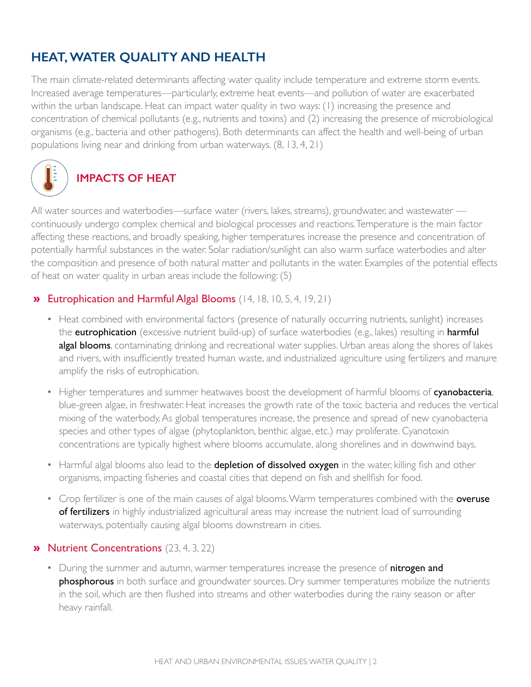## **HEAT, WATER QUALITY AND HEALTH**

The main climate-related determinants affecting water quality include temperature and extreme storm events. Increased average temperatures—particularly, extreme heat events—and pollution of water are exacerbated within the urban landscape. Heat can impact water quality in two ways: (1) increasing the presence and concentration of chemical pollutants (e.g., nutrients and toxins) and (2) increasing the presence of microbiological organisms (e.g., bacteria and other pathogens). Both determinants can affect the health and well-being of urban populations living near and drinking from urban waterways. (8, 13, 4, 21)



All water sources and waterbodies—surface water (rivers, lakes, streams), groundwater, and wastewater continuously undergo complex chemical and biological processes and reactions. Temperature is the main factor affecting these reactions, and broadly speaking, higher temperatures increase the presence and concentration of potentially harmful substances in the water. Solar radiation/sunlight can also warm surface waterbodies and alter the composition and presence of both natural matter and pollutants in the water. Examples of the potential effects of heat on water quality in urban areas include the following: (5)

#### **»** Eutrophication and Harmful Algal Blooms (14, 18, 10, 5, 4, 19, 21)

- Heat combined with environmental factors (presence of naturally occurring nutrients, sunlight) increases the **eutrophication** (excessive nutrient build-up) of surface waterbodies (e.g., lakes) resulting in **harmful** algal blooms, contaminating drinking and recreational water supplies. Urban areas along the shores of lakes and rivers, with insufficiently treated human waste, and industrialized agriculture using fertilizers and manure amplify the risks of eutrophication.
- Higher temperatures and summer heatwaves boost the development of harmful blooms of cyanobacteria, blue-green algae, in freshwater. Heat increases the growth rate of the toxic bacteria and reduces the vertical mixing of the waterbody. As global temperatures increase, the presence and spread of new cyanobacteria species and other types of algae (phytoplankton, benthic algae, etc.) may proliferate. Cyanotoxin concentrations are typically highest where blooms accumulate, along shorelines and in downwind bays.
- Harmful algal blooms also lead to the depletion of dissolved oxygen in the water, killing fish and other organisms, impacting fisheries and coastal cities that depend on fish and shellfish for food.
- Crop fertilizer is one of the main causes of algal blooms. Warm temperatures combined with the **overuse** of fertilizers in highly industrialized agricultural areas may increase the nutrient load of surrounding waterways, potentially causing algal blooms downstream in cities.

#### » Nutrient Concentrations (23, 4, 3, 22)

• During the summer and autumn, warmer temperatures increase the presence of nitrogen and phosphorous in both surface and groundwater sources. Dry summer temperatures mobilize the nutrients in the soil, which are then flushed into streams and other waterbodies during the rainy season or after heavy rainfall.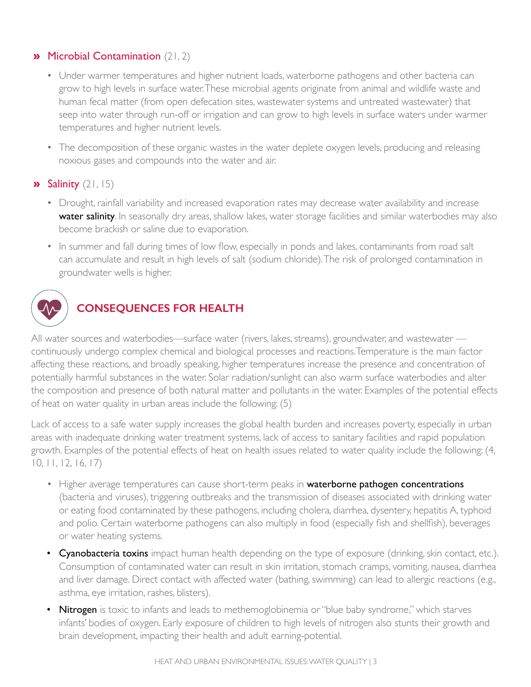#### » Microbial Contamination (21, 2)

- Under warmer temperatures and higher nutrient loads, waterborne pathogens and other bacteria can grow to high levels in surface water. These microbial agents originate from animal and wildlife waste and human fecal matter (from open defecation sites, wastewater systems and untreated wastewater) that seep into water through run-off or irrigation and can grow to high levels in surface waters under warmer temperatures and higher nutrient levels.
- The decomposition of these organic wastes in the water deplete oxygen levels, producing and releasing noxious gases and compounds into the water and air.

#### $\lambda$  Salinity (21, 15)

- Drought, rainfall variability and increased evaporation rates may decrease water availability and increase water salinity. In seasonally dry areas, shallow lakes, water storage facilities and similar waterbodies may also become brackish or saline due to evaporation.
- In summer and fall during times of low flow, especially in ponds and lakes, contaminants from road salt can accumulate and result in high levels of salt (sodium chloride). The risk of prolonged contamination in groundwater wells is higher.



## **CONSEQUENCES FOR HEALTH**

All water sources and waterbodies—surface water (rivers, lakes, streams), groundwater, and wastewater continuously undergo complex chemical and biological processes and reactions. Temperature is the main factor affecting these reactions, and broadly speaking, higher temperatures increase the presence and concentration of potentially harmful substances in the water. Solar radiation/sunlight can also warm surface waterbodies and alter the composition and presence of both natural matter and pollutants in the water. Examples of the potential effects of heat on water quality in urban areas include the following: (5)

Lack of access to a safe water supply increases the global health burden and increases poverty, especially in urban areas with inadequate drinking water treatment systems, lack of access to sanitary facilities and rapid population growth. Examples of the potential effects of heat on health issues related to water quality include the following: (4, 10, 11, 12, 16, 17)

- Higher average temperatures can cause short-term peaks in waterborne pathogen concentrations (bacteria and viruses), triggering outbreaks and the transmission of diseases associated with drinking water or eating food contaminated by these pathogens, including cholera, diarrhea, dysentery, hepatitis A, typhoid and polio. Certain waterborne pathogens can also multiply in food (especially fish and shellfish), beverages or water heating systems.
- Cyanobacteria toxins impact human health depending on the type of exposure (drinking, skin contact, etc.). Consumption of contaminated water can result in skin irritation, stomach cramps, vomiting, nausea, diarrhea and liver damage. Direct contact with affected water (bathing, swimming) can lead to allergic reactions (e.g., asthma, eye irritation, rashes, blisters).
- Nitrogen is toxic to infants and leads to methemoglobinemia or "blue baby syndrome," which starves infants' bodies of oxygen. Early exposure of children to high levels of nitrogen also stunts their growth and brain development, impacting their health and adult earning-potential.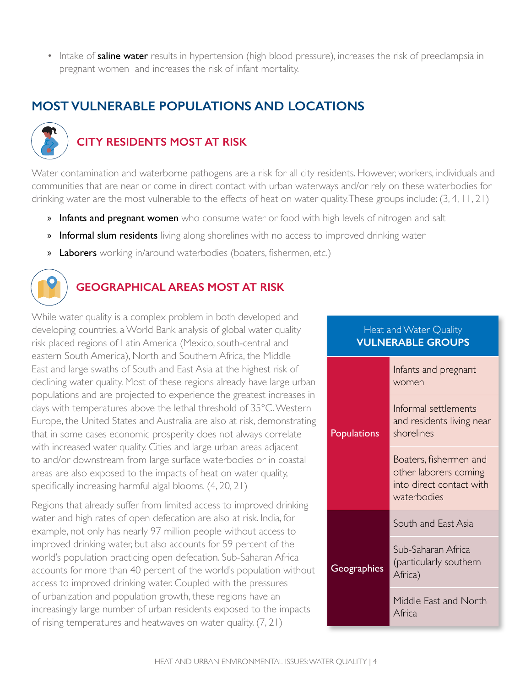• Intake of **saline water** results in hypertension (high blood pressure), increases the risk of preeclampsia in pregnant women and increases the risk of infant mortality.

## **MOST VULNERABLE POPULATIONS AND LOCATIONS**



## **CITY RESIDENTS MOST AT RISK**

Water contamination and waterborne pathogens are a risk for all city residents. However, workers, individuals and communities that are near or come in direct contact with urban waterways and/or rely on these waterbodies for drinking water are the most vulnerable to the effects of heat on water quality. These groups include: (3, 4, 11, 21)

- » Infants and pregnant women who consume water or food with high levels of nitrogen and salt
- » Informal slum residents living along shorelines with no access to improved drinking water
- » Laborers working in/around waterbodies (boaters, fishermen, etc.)



#### **GEOGRAPHICAL AREAS MOST AT RISK**

While water quality is a complex problem in both developed and developing countries, a World Bank analysis of global water quality risk placed regions of Latin America (Mexico, south-central and eastern South America), North and Southern Africa, the Middle East and large swaths of South and East Asia at the highest risk of declining water quality. Most of these regions already have large urban populations and are projected to experience the greatest increases in days with temperatures above the lethal threshold of 35°C. Western Europe, the United States and Australia are also at risk, demonstrating that in some cases economic prosperity does not always correlate with increased water quality. Cities and large urban areas adjacent to and/or downstream from large surface waterbodies or in coastal areas are also exposed to the impacts of heat on water quality, specifically increasing harmful algal blooms. (4, 20, 21)

Regions that already suffer from limited access to improved drinking water and high rates of open defecation are also at risk. India, for example, not only has nearly 97 million people without access to improved drinking water, but also accounts for 59 percent of the world's population practicing open defecation. Sub-Saharan Africa accounts for more than 40 percent of the world's population without access to improved drinking water. Coupled with the pressures of urbanization and population growth, these regions have an increasingly large number of urban residents exposed to the impacts of rising temperatures and heatwaves on water quality. (7, 21)

| Heat and Water Quality<br><b>VULNERABLE GROUPS</b> |                                                                                            |
|----------------------------------------------------|--------------------------------------------------------------------------------------------|
| Populations                                        | Infants and pregnant<br>women                                                              |
|                                                    | Informal settlements<br>and residents living near<br>shorelines                            |
|                                                    | Boaters, fishermen and<br>other laborers coming<br>into direct contact with<br>waterbodies |
| Geographies                                        | South and East Asia                                                                        |
|                                                    | Sub-Saharan Africa<br>(particularly southern<br>Africa)                                    |
|                                                    | Middle East and North<br>Africa                                                            |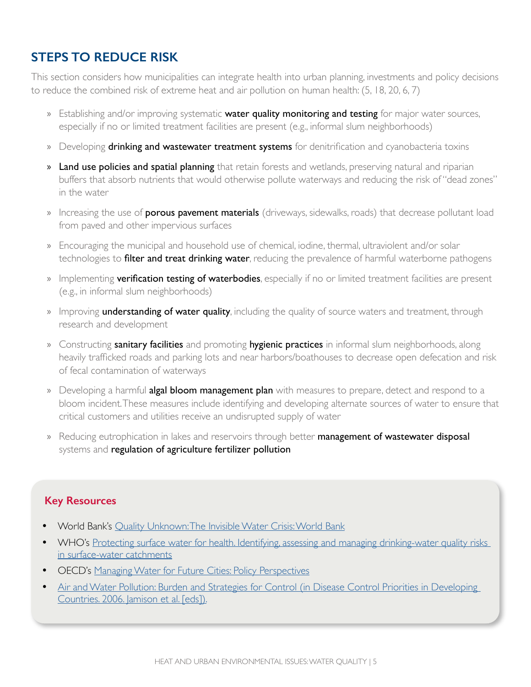## **STEPS TO REDUCE RISK**

This section considers how municipalities can integrate health into urban planning, investments and policy decisions to reduce the combined risk of extreme heat and air pollution on human health: (5, 18, 20, 6, 7)

- » Establishing and/or improving systematic **water quality monitoring and testing** for major water sources, especially if no or limited treatment facilities are present (e.g., informal slum neighborhoods)
- » Developing **drinking and wastewater treatment systems** for denitrification and cyanobacteria toxins
- » Land use policies and spatial planning that retain forests and wetlands, preserving natural and riparian buffers that absorb nutrients that would otherwise pollute waterways and reducing the risk of "dead zones" in the water
- » Increasing the use of **porous pavement materials** (driveways, sidewalks, roads) that decrease pollutant load from paved and other impervious surfaces
- » Encouraging the municipal and household use of chemical, iodine, thermal, ultraviolent and/or solar technologies to filter and treat drinking water, reducing the prevalence of harmful waterborne pathogens
- » Implementing verification testing of waterbodies, especially if no or limited treatment facilities are present (e.g., in informal slum neighborhoods)
- » Improving **understanding of water quality**, including the quality of source waters and treatment, through research and development
- » Constructing sanitary facilities and promoting hygienic practices in informal slum neighborhoods, along heavily trafficked roads and parking lots and near harbors/boathouses to decrease open defecation and risk of fecal contamination of waterways
- » Developing a harmful **algal bloom management plan** with measures to prepare, detect and respond to a bloom incident. These measures include identifying and developing alternate sources of water to ensure that critical customers and utilities receive an undisrupted supply of water
- » Reducing eutrophication in lakes and reservoirs through better management of wastewater disposal systems and regulation of agriculture fertilizer pollution

#### **Key Resources**

- World Bank's [Quality Unknown: The Invisible Water Crisis: World Bank](https://openknowledge.worldbank.org/bitstream/handle/10986/32245/9781464814594.pdf?sequence=8&isAllowed=y)
- WHO's Protecting surface water for health. Identifying, assessing and managing drinking-water quality risks [in surface-water catchments](https://apps.who.int/iris/bitstream/handle/10665/246196/9789241510554-eng.pdf?sequence=1)
- OECD's [Managing Water for Future Cities: Policy Perspectives](https://www.oecd.org/environment/resources/Policy-Perspectives-Managing-Water-For-Future-Cities.pdf)
- [Air and Water Pollution: Burden and Strategies for Control](https://www.ncbi.nlm.nih.gov/books/NBK11769/) (in Disease Control Priorities in Developing Countries. 2006. Jamison et al. [eds]).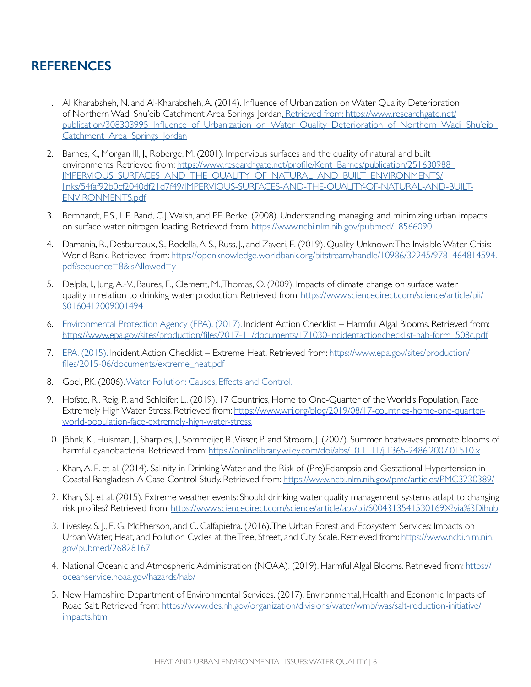### **REFERENCES**

- 1. Al Kharabsheh, N. and Al-Kharabsheh, A. (2014). Influence of Urbanization on Water Quality Deterioration of Northern Wadi Shu'eib Catchment Area Springs, Jordan. Retrieved from: https://www.researchgate.net/ publication/308303995\_Influence\_of\_Urbanization\_on\_Water\_Quality\_Deterioration\_of\_Northern\_Wadi\_Shu'eib\_ Catchment Area Springs Jordan
- 2. Barnes, K., Morgan III, J., Roberge, M. (2001). Impervious surfaces and the quality of natural and built environments. Retrieved from: [https://www.researchgate.net/profile/Kent\\_Barnes/publication/251630988\\_](https://www.researchgate.net/profile/Kent_Barnes/publication/251630988_IMPERVIOUS_SURFACES_AND_THE_QUALITY_OF_NATURAL_AND_BUILT_ENVIRONMENTS/links/54faf92b0cf2040df21d7f49/IMPERVIOUS-SURFACES-AND-THE-QUALITY-OF-NATURAL-AND-BUILT-ENVIRONMENTS.pdf) [IMPERVIOUS\\_SURFACES\\_AND\\_THE\\_QUALITY\\_OF\\_NATURAL\\_AND\\_BUILT\\_ENVIRONMENTS/](https://www.researchgate.net/profile/Kent_Barnes/publication/251630988_IMPERVIOUS_SURFACES_AND_THE_QUALITY_OF_NATURAL_AND_BUILT_ENVIRONMENTS/links/54faf92b0cf2040df21d7f49/IMPERVIOUS-SURFACES-AND-THE-QUALITY-OF-NATURAL-AND-BUILT-ENVIRONMENTS.pdf) [links/54faf92b0cf2040df21d7f49/IMPERVIOUS-SURFACES-AND-THE-QUALITY-OF-NATURAL-AND-BUILT-](https://www.researchgate.net/profile/Kent_Barnes/publication/251630988_IMPERVIOUS_SURFACES_AND_THE_QUALITY_OF_NATURAL_AND_BUILT_ENVIRONMENTS/links/54faf92b0cf2040df21d7f49/IMPERVIOUS-SURFACES-AND-THE-QUALITY-OF-NATURAL-AND-BUILT-ENVIRONMENTS.pdf)[ENVIRONMENTS.pdf](https://www.researchgate.net/profile/Kent_Barnes/publication/251630988_IMPERVIOUS_SURFACES_AND_THE_QUALITY_OF_NATURAL_AND_BUILT_ENVIRONMENTS/links/54faf92b0cf2040df21d7f49/IMPERVIOUS-SURFACES-AND-THE-QUALITY-OF-NATURAL-AND-BUILT-ENVIRONMENTS.pdf)
- 3. Bernhardt, E.S., L.E. Band, C.J. Walsh, and P.E. Berke. (2008). Understanding, managing, and minimizing urban impacts on surface water nitrogen loading. Retrieved from:<https://www.ncbi.nlm.nih.gov/pubmed/18566090>
- 4. Damania, R., Desbureaux, S., Rodella, A-S., Russ, J., and Zaveri, E. (2019). Quality Unknown: The Invisible Water Crisis: World Bank. Retrieved from: [https://openknowledge.worldbank.org/bitstream/handle/10986/32245/9781464814594.](https://openknowledge.worldbank.org/bitstream/handle/10986/32245/9781464814594.pdf?sequence=8&isAllowed=y) [pdf?sequence=8&isAllowed=y](https://openknowledge.worldbank.org/bitstream/handle/10986/32245/9781464814594.pdf?sequence=8&isAllowed=y)
- 5. Delpla, I., Jung, A.-V., Baures, E., Clement, M., Thomas, O. (2009). Impacts of climate change on surface water quality in relation to drinking water production. Retrieved from: [https://www.sciencedirect.com/science/article/pii/](https://www.sciencedirect.com/science/article/pii/S0160412009001494) [S0160412009001494](https://www.sciencedirect.com/science/article/pii/S0160412009001494)
- 6. Environmental Protection Agency (EPA). (2017). Incident Action Checklist Harmful Algal Blooms. Retrieved from: [https://www.epa.gov/sites/production/files/2017-11/documents/171030-incidentactionchecklist-hab-form\\_508c.pdf](https://www.epa.gov/sites/production/files/2017-11/documents/171030-incidentactionchecklist-hab-form_508c.pdf)
- 7. EPA. (2015). Incident Action Checklist Extreme Heat. Retrieved from: [https://www.epa.gov/sites/production/](https://www.epa.gov/sites/production/files/2015-06/documents/extreme_heat.pdf) [files/2015-06/documents/extreme\\_heat.pdf](https://www.epa.gov/sites/production/files/2015-06/documents/extreme_heat.pdf)
- 8. Goel, P.K. (2006). [Water Pollution: Causes, Effects and Control.](https://www.amazon.com/Water-Pollution-Causes-Effects-Control/dp/8122418392)
- 9. Hofste, R., Reig, P., and Schleifer, L., (2019). 17 Countries, Home to One-Quarter of the World's Population, Face Extremely High Water Stress. Retrieved from: [https://www.wri.org/blog/2019/08/17-countries-home-one-quarter](https://www.wri.org/blog/2019/08/17-countries-home-one-quarter-world-population-face-extremely-high-water-stress.)[world-population-face-extremely-high-water-stress.](https://www.wri.org/blog/2019/08/17-countries-home-one-quarter-world-population-face-extremely-high-water-stress.)
- 10. Jöhnk, K., Huisman, J., Sharples, J., Sommeijer, B., Visser, P., and Stroom, J. (2007). Summer heatwaves promote blooms of harmful cyanobacteria. Retrieved from: <https://onlinelibrary.wiley.com/doi/abs/10.1111/j.1365-2486.2007.01510.x>
- 11. Khan, A. E. et al. (2014). Salinity in Drinking Water and the Risk of (Pre)Eclampsia and Gestational Hypertension in Coastal Bangladesh: A Case-Control Study. Retrieved from: <https://www.ncbi.nlm.nih.gov/pmc/articles/PMC3230389/>
- 12. Khan, S.J. et al. (2015). Extreme weather events: Should drinking water quality management systems adapt to changing risk profiles? Retrieved from:<https://www.sciencedirect.com/science/article/abs/pii/S004313541530169X?via%3Dihub>
- 13. Livesley, S. J., E. G. McPherson, and C. Calfapietra. (2016). The Urban Forest and Ecosystem Services: Impacts on Urban Water, Heat, and Pollution Cycles at the Tree, Street, and City Scale. Retrieved from: [https://www.ncbi.nlm.nih.](https://www.ncbi.nlm.nih.gov/pubmed/26828167) [gov/pubmed/26828167](https://www.ncbi.nlm.nih.gov/pubmed/26828167)
- 14. National Oceanic and Atmospheric Administration (NOAA). (2019). Harmful Algal Blooms. Retrieved from: [https://](https://oceanservice.noaa.gov/hazards/hab/) [oceanservice.noaa.gov/hazards/hab/](https://oceanservice.noaa.gov/hazards/hab/)
- 15. New Hampshire Department of Environmental Services. (2017). Environmental, Health and Economic Impacts of Road Salt. Retrieved from: [https://www.des.nh.gov/organization/divisions/water/wmb/was/salt-reduction-initiative/](https://www.des.nh.gov/organization/divisions/water/wmb/was/salt-reduction-initiative/impacts.htm) [impacts.htm](https://www.des.nh.gov/organization/divisions/water/wmb/was/salt-reduction-initiative/impacts.htm)